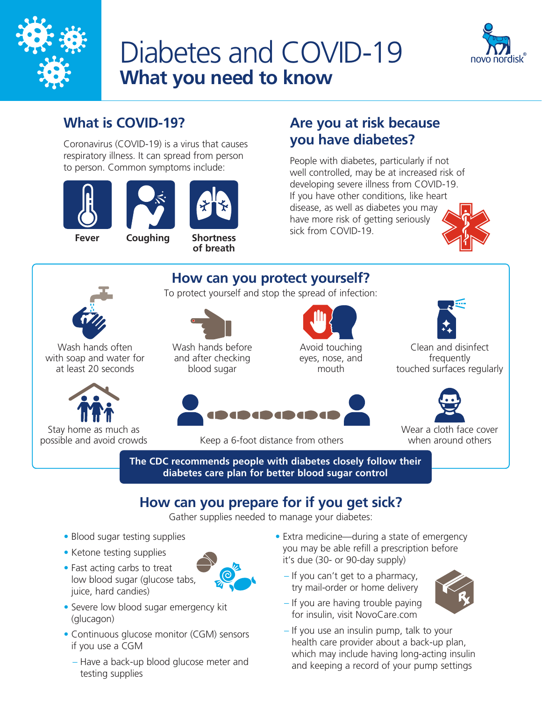

# Diabetes and COVID-19 **What you need to know**



## **What is COVID-19?**

Coronavirus (COVID-19) is a virus that causes respiratory illness. It can spread from person to person. Common symptoms include:





**of breath**

## **Are you at risk because you have diabetes?**

People with diabetes, particularly if not well controlled, may be at increased risk of developing severe illness from COVID-19. If you have other conditions, like heart disease, as well as diabetes you may have more risk of getting seriously sick from COVID-19. **Shortness** 



**How can you protect yourself?**  To protect yourself and stop the spread of infection:



Wash hands often with soap and water for at least 20 seconds



Stay home as much as<br>possible and avoid crowds



Wash hands before and after checking blood sugar

Avoid touching eyes, nose, and mouth



Clean and disinfect frequently touched surfaces regularly





Wear a cloth face cover when around others

**The CDC recommends people with diabetes closely follow their** 

Keep a 6-foot distance from others

**diabetes care plan for better blood sugar control**

## **How can you prepare for if you get sick?**

Gather supplies needed to manage your diabetes:

- Blood sugar testing supplies
- Ketone testing supplies
- Fast acting carbs to treat low blood sugar (glucose tabs, juice, hard candies)



- Severe low blood sugar emergency kit (glucagon)
- Continuous glucose monitor (CGM) sensors if you use a CGM
	- Have a back-up blood glucose meter and testing supplies
- Extra medicine—during a state of emergency you may be able refill a prescription before it's due (30- or 90-day supply)
	- If you can't get to a pharmacy, try mail-order or home delivery



- If you are having trouble paying for insulin, visit [NovoCare.com](http://NovoCare.com)
- If you use an insulin pump, talk to your health care provider about a back-up plan, which may include having long-acting insulin and keeping a record of your pump settings